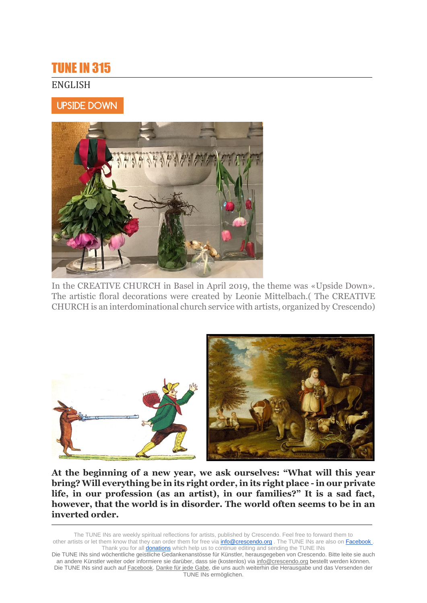# TUNE IN 315

## ENGLISH

# UPSIDE DOWN



In the CREATIVE CHURCH in Basel in April 2019, the theme was «Upside Down». The artistic floral decorations were created by Leonie Mittelbach.( The CREATIVE CHURCH is an interdominational church service with artists, organized by Crescendo)



**At the beginning of a new year, we ask ourselves: "What will this year bring? Will everything be in its right order, in its right place - in our private life, in our profession (as an artist), in our families?" It is a sad fact, however, that the world is in disorder. The world often seems to be in an inverted order.**

The TUNE INs are weekly spiritual reflections for artists, published by Crescendo. Feel free to forward them to other artists or let them know that they can order them for free via **info@crescendo.org** . The TUNE INs are also on Facebook . Thank you for all **donations** which help us to continue editing and sending the TUNE INs

Die TUNE INs sind wöchentliche geistliche Gedankenanstösse für Künstler, herausgegeben von Crescendo. Bitte leite sie auch an andere Künstler weiter oder informiere sie darüber, dass sie (kostenlos) via [info@crescendo.org](mailto:info@crescendo.org) bestellt werden können. Die TUNE INs sind auch auf [Facebook.](https://www.facebook.com/TUNEINs/) [Danke für jede Gabe,](https://www.crescendo.org/de/kontakt--spenden.html) die uns auch weiterhin die Herausgabe und das Versenden der TUNE INs ermöglichen.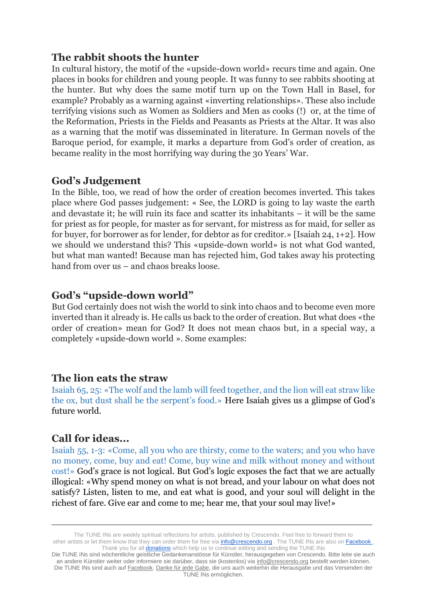## **The rabbit shoots the hunter**

In cultural history, the motif of the «upside-down world» recurs time and again. One places in books for children and young people. It was funny to see rabbits shooting at the hunter. But why does the same motif turn up on the Town Hall in Basel, for example? Probably as a warning against «inverting relationships». These also include terrifying visions such as Women as Soldiers and Men as cooks (!) or, at the time of the Reformation, Priests in the Fields and Peasants as Priests at the Altar. It was also as a warning that the motif was disseminated in literature. In German novels of the Baroque period, for example, it marks a departure from God's order of creation, as became reality in the most horrifying way during the 30 Years' War.

### **God's Judgement**

In the Bible, too, we read of how the order of creation becomes inverted. This takes place where God passes judgement: « See, the LORD is going to lay waste the earth and devastate it; he will ruin its face and scatter its inhabitants – it will be the same for priest as for people, for master as for servant, for mistress as for maid, for seller as for buyer, for borrower as for lender, for debtor as for creditor.» [Isaiah 24, 1+2]. How we should we understand this? This «upside-down world» is not what God wanted, but what man wanted! Because man has rejected him, God takes away his protecting hand from over us – and chaos breaks loose.

# **God's "upside-down world"**

But God certainly does not wish the world to sink into chaos and to become even more inverted than it already is. He calls us back to the order of creation. But what does «the order of creation» mean for God? It does not mean chaos but, in a special way, a completely «upside-down world ». Some examples:

### **The lion eats the straw**

Isaiah 65, 25: «The wolf and the lamb will feed together, and the lion will eat straw like the ox, but dust shall be the serpent's food.» Here Isaiah gives us a glimpse of God's future world.

# **Call for ideas...**

Isaiah 55, 1-3: «Come, all you who are thirsty, come to the waters; and you who have no money, come, buy and eat! Come, buy wine and milk without money and without cost!» God's grace is not logical. But God's logic exposes the fact that we are actually illogical: «Why spend money on what is not bread, and your labour on what does not satisfy? Listen, listen to me, and eat what is good, and your soul will delight in the richest of fare. Give ear and come to me; hear me, that your soul may live!»

The TUNE INs are weekly spiritual reflections for artists, published by Crescendo. Feel free to forward them to other artists or let them know that they can order them for free via **info@crescendo.org** . The TUNE INs are also on Facebook . Thank you for all **donations** which help us to continue editing and sending the TUNE INs

Die TUNE INs sind wöchentliche geistliche Gedankenanstösse für Künstler, herausgegeben von Crescendo. Bitte leite sie auch an andere Künstler weiter oder informiere sie darüber, dass sie (kostenlos) via [info@crescendo.org](mailto:info@crescendo.org) bestellt werden können. Die TUNE INs sind auch auf [Facebook.](https://www.facebook.com/TUNEINs/) [Danke für jede Gabe,](https://www.crescendo.org/de/kontakt--spenden.html) die uns auch weiterhin die Herausgabe und das Versenden der TUNE INs ermöglichen.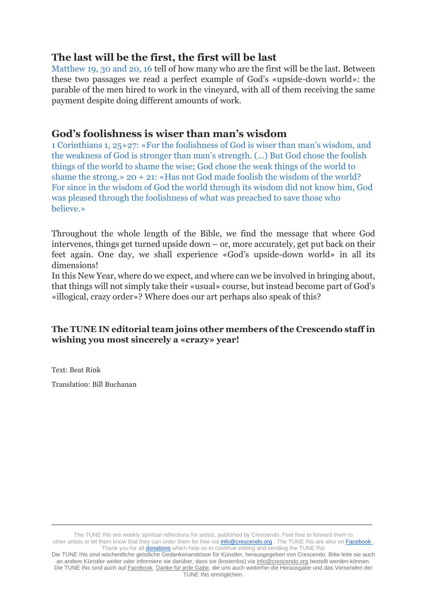# **The last will be the first, the first will be last**

Matthew 19, 30 and 20, 16 tell of how many who are the first will be the last. Between these two passages we read a perfect example of God's «upside-down world»: the parable of the men hired to work in the vineyard, with all of them receiving the same payment despite doing different amounts of work.

# **God's foolishness is wiser than man's wisdom**

1 Corinthians 1, 25+27: «For the foolishness of God is wiser than man's wisdom, and the weakness of God is stronger than man's strength. (...) But God chose the foolish things of the world to shame the wise; God chose the weak things of the world to shame the strong.» 20 + 21: «Has not God made foolish the wisdom of the world? For since in the wisdom of God the world through its wisdom did not know him, God was pleased through the foolishness of what was preached to save those who believe.»

Throughout the whole length of the Bible, we find the message that where God intervenes, things get turned upside down – or, more accurately, get put back on their feet again. One day, we shall experience «God's upside-down world» in all its dimensions!

In this New Year, where do we expect, and where can we be involved in bringing about, that things will not simply take their «usual» course, but instead become part of God's «illogical, crazy order»? Where does our art perhaps also speak of this?

#### **The TUNE IN editorial team joins other members of the Crescendo staff in wishing you most sincerely a «crazy» year!**

Text: Beat Rink

Translation: Bill Buchanan

The TUNE INs are weekly spiritual reflections for artists, published by Crescendo. Feel free to forward them to other artists or let them know that they can order them for free via **info@crescendo.org** . The TUNE INs are also on Facebook . Thank you for all **donations** which help us to continue editing and sending the TUNE INs

Die TUNE INs sind wöchentliche geistliche Gedankenanstösse für Künstler, herausgegeben von Crescendo. Bitte leite sie auch an andere Künstler weiter oder informiere sie darüber, dass sie (kostenlos) via [info@crescendo.org](mailto:info@crescendo.org) bestellt werden können. Die TUNE INs sind auch auf [Facebook.](https://www.facebook.com/TUNEINs/) [Danke für jede Gabe,](https://www.crescendo.org/de/kontakt--spenden.html) die uns auch weiterhin die Herausgabe und das Versenden der TUNE INs ermöglichen.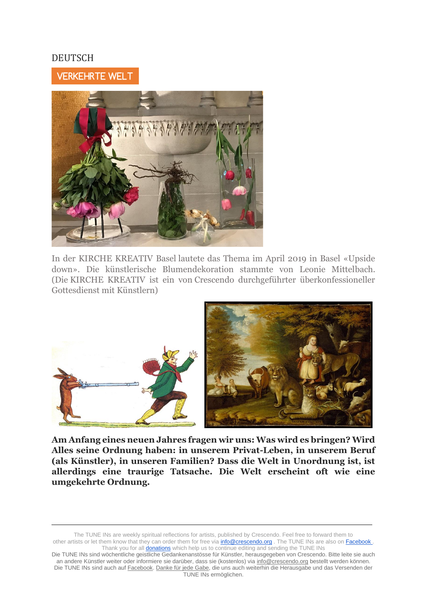### DEUTSCH

# VERKEHRTE WELT



In der KIRCHE KREATIV Basel lautete das Thema im April 2019 in Basel «Upside down». Die künstlerische Blumendekoration stammte von Leonie Mittelbach. (Die KIRCHE KREATIV ist ein von Crescendo durchgeführter überkonfessioneller Gottesdienst mit Künstlern)



**Am Anfang eines neuen Jahres fragen wir uns: Was wird es bringen? Wird Alles seine Ordnung haben: in unserem Privat-Leben, in unserem Beruf (als Künstler), in unseren Familien? Dass die Welt in Unordnung ist, ist allerdings eine traurige Tatsache. Die Welt erscheint oft wie eine umgekehrte Ordnung.**

The TUNE INs are weekly spiritual reflections for artists, published by Crescendo. Feel free to forward them to other artists or let them know that they can order them for free via **info@crescendo.org** . The TUNE INs are also on Facebook . Thank you for all **donations** which help us to continue editing and sending the TUNE INs

Die TUNE INs sind wöchentliche geistliche Gedankenanstösse für Künstler, herausgegeben von Crescendo. Bitte leite sie auch an andere Künstler weiter oder informiere sie darüber, dass sie (kostenlos) via [info@crescendo.org](mailto:info@crescendo.org) bestellt werden können. Die TUNE INs sind auch auf [Facebook.](https://www.facebook.com/TUNEINs/) [Danke für jede Gabe,](https://www.crescendo.org/de/kontakt--spenden.html) die uns auch weiterhin die Herausgabe und das Versenden der TUNE INs ermöglichen.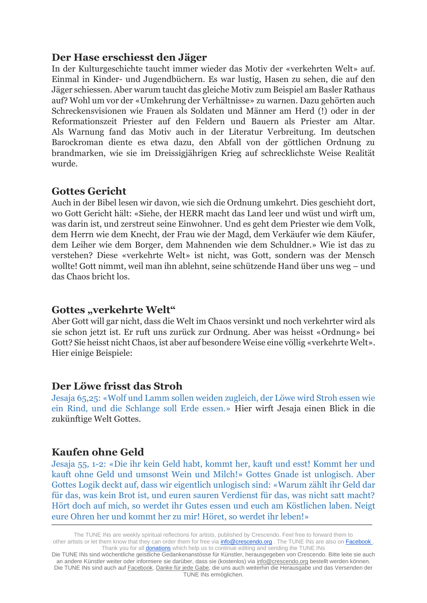### **Der Hase erschiesst den Jäger**

In der Kulturgeschichte taucht immer wieder das Motiv der «verkehrten Welt» auf. Einmal in Kinder- und Jugendbüchern. Es war lustig, Hasen zu sehen, die auf den Jäger schiessen. Aber warum taucht das gleiche Motiv zum Beispiel am Basler Rathaus auf? Wohl um vor der «Umkehrung der Verhältnisse» zu warnen. Dazu gehörten auch Schreckensvisionen wie Frauen als Soldaten und Männer am Herd (!) oder in der Reformationszeit Priester auf den Feldern und Bauern als Priester am Altar. Als Warnung fand das Motiv auch in der Literatur Verbreitung. Im deutschen Barockroman diente es etwa dazu, den Abfall von der göttlichen Ordnung zu brandmarken, wie sie im Dreissigjährigen Krieg auf schrecklichste Weise Realität wurde.

### **Gottes Gericht**

Auch in der Bibel lesen wir davon, wie sich die Ordnung umkehrt. Dies geschieht dort, wo Gott Gericht hält: «Siehe, der HERR macht das Land leer und wüst und wirft um, was darin ist, und zerstreut seine Einwohner. Und es geht dem Priester wie dem Volk, dem Herrn wie dem Knecht, der Frau wie der Magd, dem Verkäufer wie dem Käufer, dem Leiher wie dem Borger, dem Mahnenden wie dem Schuldner.» Wie ist das zu verstehen? Diese «verkehrte Welt» ist nicht, was Gott, sondern was der Mensch wollte! Gott nimmt, weil man ihn ablehnt, seine schützende Hand über uns weg – und das Chaos bricht los.

### **Gottes "verkehrte Welt"**

Aber Gott will gar nicht, dass die Welt im Chaos versinkt und noch verkehrter wird als sie schon jetzt ist. Er ruft uns zurück zur Ordnung. Aber was heisst «Ordnung» bei Gott? Sie heisst nicht Chaos, ist aber auf besondere Weise eine völlig «verkehrte Welt». Hier einige Beispiele:

### **Der Löwe frisst das Stroh**

Jesaja 65,25: «Wolf und Lamm sollen weiden zugleich, der Löwe wird Stroh essen wie ein Rind, und die Schlange soll Erde essen.» Hier wirft Jesaja einen Blick in die zukünftige Welt Gottes.

### **Kaufen ohne Geld**

Jesaja 55, 1-2: «Die ihr kein Geld habt, kommt her, kauft und esst! Kommt her und kauft ohne Geld und umsonst Wein und Milch!» Gottes Gnade ist unlogisch. Aber Gottes Logik deckt auf, dass wir eigentlich unlogisch sind: «Warum zählt ihr Geld dar für das, was kein Brot ist, und euren sauren Verdienst für das, was nicht satt macht? Hört doch auf mich, so werdet ihr Gutes essen und euch am Köstlichen laben. Neigt eure Ohren her und kommt her zu mir! Höret, so werdet ihr leben!»

The TUNE INs are weekly spiritual reflections for artists, published by Crescendo. Feel free to forward them to other artists or let them know that they can order them for free via **info@crescendo.org** . The TUNE INs are also on Facebook . Thank you for all **donations** which help us to continue editing and sending the TUNE INs

Die TUNE INs sind wöchentliche geistliche Gedankenanstösse für Künstler, herausgegeben von Crescendo. Bitte leite sie auch an andere Künstler weiter oder informiere sie darüber, dass sie (kostenlos) via [info@crescendo.org](mailto:info@crescendo.org) bestellt werden können. Die TUNE INs sind auch auf [Facebook.](https://www.facebook.com/TUNEINs/) [Danke für jede Gabe,](https://www.crescendo.org/de/kontakt--spenden.html) die uns auch weiterhin die Herausgabe und das Versenden der TUNE INs ermöglichen.